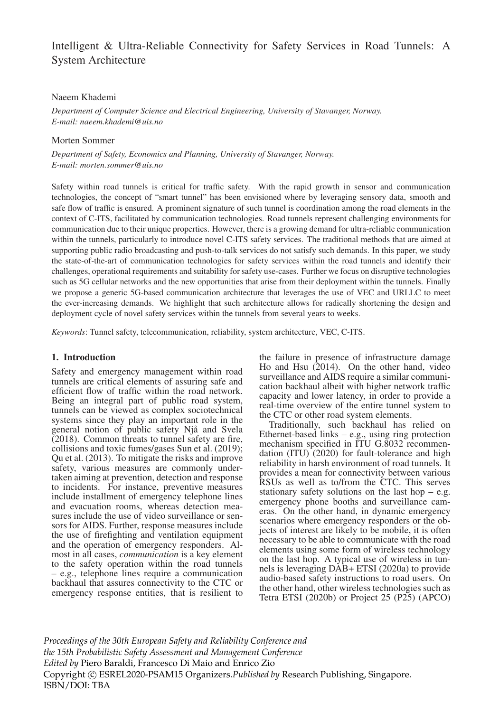# Intelligent & Ultra-Reliable Connectivity for Safety Services in Road Tunnels: A System Architecture

### Naeem Khademi

*Department of Computer Science and Electrical Engineering, University of Stavanger, Norway. E-mail: naeem.khademi@uis.no*

#### Morten Sommer

*Department of Safety, Economics and Planning, University of Stavanger, Norway. E-mail: morten.sommer@uis.no*

Safety within road tunnels is critical for traffic safety. With the rapid growth in sensor and communication technologies, the concept of "smart tunnel" has been envisioned where by leveraging sensory data, smooth and safe flow of traffic is ensured. A prominent signature of such tunnel is coordination among the road elements in the context of C-ITS, facilitated by communication technologies. Road tunnels represent challenging environments for communication due to their unique properties. However, there is a growing demand for ultra-reliable communication within the tunnels, particularly to introduce novel C-ITS safety services. The traditional methods that are aimed at supporting public radio broadcasting and push-to-talk services do not satisfy such demands. In this paper, we study the state-of-the-art of communication technologies for safety services within the road tunnels and identify their challenges, operational requirements and suitability for safety use-cases. Further we focus on disruptive technologies such as 5G cellular networks and the new opportunities that arise from their deployment within the tunnels. Finally we propose a generic 5G-based communication architecture that leverages the use of VEC and URLLC to meet the ever-increasing demands. We highlight that such architecture allows for radically shortening the design and deployment cycle of novel safety services within the tunnels from several years to weeks.

*Keywords*: Tunnel safety, telecommunication, reliability, system architecture, VEC, C-ITS.

# 1. Introduction

Safety and emergency management within road tunnels are critical elements of assuring safe and efficient flow of traffic within the road network. Being an integral part of public road system, tunnels can be viewed as complex sociotechnical systems since they play an important role in the general notion of public safety Njå and Svela (2018). Common threats to tunnel safety are fire, collisions and toxic fumes/gases Sun et al. (2019); Qu et al. (2013). To mitigate the risks and improve safety, various measures are commonly undertaken aiming at prevention, detection and response to incidents. For instance, preventive measures include installment of emergency telephone lines and evacuation rooms, whereas detection measures include the use of video surveillance or sensors for AIDS. Further, response measures include the use of firefighting and ventilation equipment and the operation of emergency responders. Almost in all cases, *communication* is a key element to the safety operation within the road tunnels – e.g., telephone lines require a communication backhaul that assures connectivity to the CTC or emergency response entities, that is resilient to the failure in presence of infrastructure damage Ho and Hsu (2014). On the other hand, video surveillance and AIDS require a similar communication backhaul albeit with higher network traffic capacity and lower latency, in order to provide a real-time overview of the entire tunnel system to the CTC or other road system elements.

Traditionally, such backhaul has relied on Ethernet-based links – e.g., using ring protection mechanism specified in ITU G.8032 recommendation  $(ITU)$  (2020) for fault-tolerance and high reliability in harsh environment of road tunnels. It provides a mean for connectivity between various RSUs as well as to/from the CTC. This serves stationary safety solutions on the last hop  $-$  e.g. emergency phone booths and surveillance cameras. On the other hand, in dynamic emergency scenarios where emergency responders or the objects of interest are likely to be mobile, it is often necessary to be able to communicate with the road elements using some form of wireless technology on the last hop. A typical use of wireless in tunnels is leveraging DAB+ ETSI (2020a) to provide audio-based safety instructions to road users. On the other hand, other wireless technologies such as Tetra ETSI (2020b) or Project 25 (P25) (APCO)

*Proceedings of the 30th European Safety and Reliability Conference and the 15th Probabilistic Safety Assessment and Management Conference Edited by* Piero Baraldi, Francesco Di Maio and Enrico Zio Copyright © ESREL2020-PSAM15 Organizers.*Published by* Research Publishing, Singapore. ISBN/DOI: TBA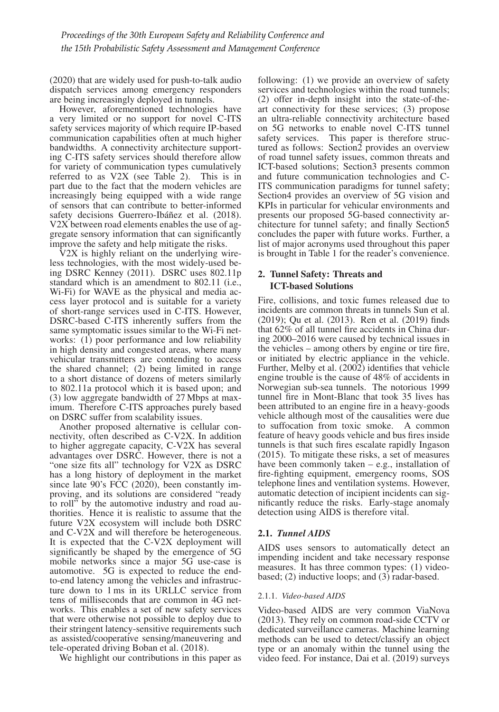(2020) that are widely used for push-to-talk audio dispatch services among emergency responders are being increasingly deployed in tunnels.

However, aforementioned technologies have a very limited or no support for novel C-ITS safety services majority of which require IP-based communication capabilities often at much higher bandwidths. A connectivity architecture supporting C-ITS safety services should therefore allow for variety of communication types cumulatively referred to as V2X (see Table 2). This is in part due to the fact that the modern vehicles are increasingly being equipped with a wide range of sensors that can contribute to better-informed safety decisions Guerrero-Ibáñez et al. (2018). V2X between road elements enables the use of aggregate sensory information that can significantly improve the safety and help mitigate the risks.

V2X is highly reliant on the underlying wireless technologies, with the most widely-used being DSRC Kenney (2011). DSRC uses 802.11p standard which is an amendment to 802.11 (i.e., Wi-Fi) for WAVE as the physical and media access layer protocol and is suitable for a variety of short-range services used in C-ITS. However, DSRC-based C-ITS inherently suffers from the same symptomatic issues similar to the Wi-Fi networks: (1) poor performance and low reliability in high density and congested areas, where many vehicular transmitters are contending to access the shared channel; (2) being limited in range to a short distance of dozens of meters similarly to 802.11a protocol which it is based upon; and (3) low aggregate bandwidth of 27 Mbps at maximum. Therefore C-ITS approaches purely based on DSRC suffer from scalability issues.

Another proposed alternative is cellular connectivity, often described as C-V2X. In addition to higher aggregate capacity, C-V2X has several advantages over DSRC. However, there is not a "one size fits all" technology for V2X as DSRC has a long history of deployment in the market since late 90's FCC (2020), been constantly improving, and its solutions are considered "ready to roll" by the automotive industry and road authorities. Hence it is realistic to assume that the future V2X ecosystem will include both DSRC and C-V2X and will therefore be heterogeneous. It is expected that the C-V2X deployment will significantly be shaped by the emergence of 5G mobile networks since a major 5G use-case is automotive. 5G is expected to reduce the endto-end latency among the vehicles and infrastructure down to 1 ms in its URLLC service from tens of milliseconds that are common in 4G networks. This enables a set of new safety services that were otherwise not possible to deploy due to their stringent latency-sensitive requirements such as assisted/cooperative sensing/maneuvering and tele-operated driving Boban et al. (2018).

We highlight our contributions in this paper as

following: (1) we provide an overview of safety services and technologies within the road tunnels: (2) offer in-depth insight into the state-of-theart connectivity for these services; (3) propose an ultra-reliable connectivity architecture based on 5G networks to enable novel C-ITS tunnel safety services. This paper is therefore structured as follows: Section2 provides an overview of road tunnel safety issues, common threats and ICT-based solutions; Section3 presents common and future communication technologies and C-ITS communication paradigms for tunnel safety; Section4 provides an overview of 5G vision and KPIs in particular for vehicular environments and presents our proposed 5G-based connectivity architecture for tunnel safety; and finally Section5 concludes the paper with future works. Further, a list of major acronyms used throughout this paper is brought in Table 1 for the reader's convenience.

# 2. Tunnel Safety: Threats and ICT-based Solutions

Fire, collisions, and toxic fumes released due to incidents are common threats in tunnels Sun et al. (2019); Qu et al. (2013). Ren et al. (2019) finds that 62% of all tunnel fire accidents in China during 2000–2016 were caused by technical issues in the vehicles – among others by engine or tire fire, or initiated by electric appliance in the vehicle. Further, Melby et al. (2002) identifies that vehicle engine trouble is the cause of 48% of accidents in Norwegian sub-sea tunnels. The notorious 1999 tunnel fire in Mont-Blanc that took 35 lives has been attributed to an engine fire in a heavy-goods vehicle although most of the causalities were due to suffocation from toxic smoke. A common feature of heavy goods vehicle and bus fires inside tunnels is that such fires escalate rapidly Ingason (2015). To mitigate these risks, a set of measures have been commonly taken – e.g., installation of fire-fighting equipment, emergency rooms, SOS telephone lines and ventilation systems. However, automatic detection of incipient incidents can significantly reduce the risks. Early-stage anomaly detection using AIDS is therefore vital.

# 2.1. *Tunnel AIDS*

AIDS uses sensors to automatically detect an impending incident and take necessary response measures. It has three common types: (1) videobased; (2) inductive loops; and (3) radar-based.

# 2.1.1. *Video-based AIDS*

Video-based AIDS are very common ViaNova (2013). They rely on common road-side CCTV or dedicated surveillance cameras. Machine learning methods can be used to detect/classify an object type or an anomaly within the tunnel using the video feed. For instance, Dai et al. (2019) surveys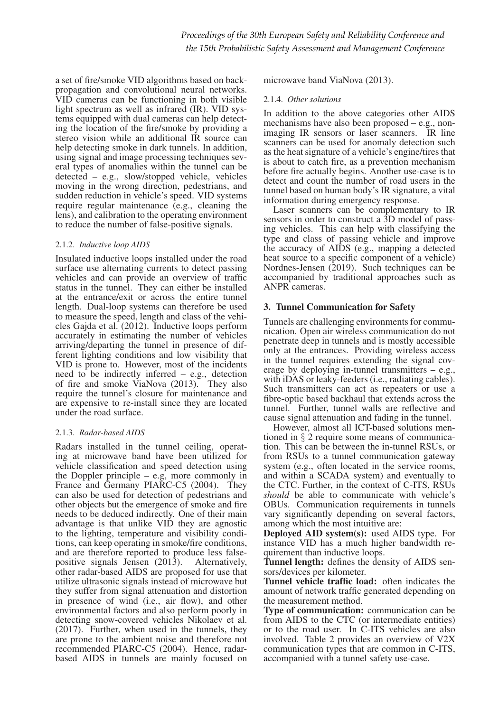a set of fire/smoke VID algorithms based on backpropagation and convolutional neural networks. VID cameras can be functioning in both visible light spectrum as well as infrared (IR). VID systems equipped with dual cameras can help detecting the location of the fire/smoke by providing a stereo vision while an additional IR source can help detecting smoke in dark tunnels. In addition, using signal and image processing techniques several types of anomalies within the tunnel can be detected – e.g., slow/stopped vehicle, vehicles moving in the wrong direction, pedestrians, and sudden reduction in vehicle's speed. VID systems require regular maintenance (e.g., cleaning the lens), and calibration to the operating environment to reduce the number of false-positive signals.

#### 2.1.2. *Inductive loop AIDS*

Insulated inductive loops installed under the road surface use alternating currents to detect passing vehicles and can provide an overview of traffic status in the tunnel. They can either be installed at the entrance/exit or across the entire tunnel length. Dual-loop systems can therefore be used to measure the speed, length and class of the vehicles Gajda et al. (2012). Inductive loops perform accurately in estimating the number of vehicles arriving/departing the tunnel in presence of different lighting conditions and low visibility that VID is prone to. However, most of the incidents need to be indirectly inferred – e.g., detection of fire and smoke ViaNova (2013). They also require the tunnel's closure for maintenance and are expensive to re-install since they are located under the road surface.

# 2.1.3. *Radar-based AIDS*

Radars installed in the tunnel ceiling, operating at microwave band have been utilized for vehicle classification and speed detection using the Doppler principle  $-$  e.g, more commonly in France and Germany PIARC-C5 (2004). They can also be used for detection of pedestrians and other objects but the emergence of smoke and fire needs to be deduced indirectly. One of their main advantage is that unlike VID they are agnostic to the lighting, temperature and visibility conditions, can keep operating in smoke/fire conditions, and are therefore reported to produce less false-<br>positive signals Jensen (2013). Alternatively, positive signals Jensen  $(2013)$ . other radar-based AIDS are proposed for use that utilize ultrasonic signals instead of microwave but they suffer from signal attenuation and distortion in presence of wind (i.e., air flow), and other environmental factors and also perform poorly in detecting snow-covered vehicles Nikolaev et al. (2017). Further, when used in the tunnels, they are prone to the ambient noise and therefore not recommended PIARC-C5 (2004). Hence, radarbased AIDS in tunnels are mainly focused on microwave band ViaNova (2013).

### 2.1.4. *Other solutions*

In addition to the above categories other AIDS mechanisms have also been proposed – e.g., nonimaging IR sensors or laser scanners. IR line scanners can be used for anomaly detection such as the heat signature of a vehicle's engine/tires that is about to catch fire, as a prevention mechanism before fire actually begins. Another use-case is to detect and count the number of road users in the tunnel based on human body's IR signature, a vital information during emergency response.

Laser scanners can be complementary to IR sensors in order to construct a 3D model of passing vehicles. This can help with classifying the type and class of passing vehicle and improve the accuracy of AIDS (e.g., mapping a detected heat source to a specific component of a vehicle) Nordnes-Jensen (2019). Such techniques can be accompanied by traditional approaches such as ANPR cameras.

# 3. Tunnel Communication for Safety

Tunnels are challenging environments for communication. Open air wireless communication do not penetrate deep in tunnels and is mostly accessible only at the entrances. Providing wireless access in the tunnel requires extending the signal coverage by deploying in-tunnel transmitters – e.g., with iDAS or leaky-feeders (i.e., radiating cables). Such transmitters can act as repeaters or use a fibre-optic based backhaul that extends across the tunnel. Further, tunnel walls are reflective and cause signal attenuation and fading in the tunnel.

However, almost all ICT-based solutions mentioned in § 2 require some means of communication. This can be between the in-tunnel RSUs, or from RSUs to a tunnel communication gateway system (e.g., often located in the service rooms, and within a SCADA system) and eventually to the CTC. Further, in the context of C-ITS, RSUs *should* be able to communicate with vehicle's OBUs. Communication requirements in tunnels vary significantly depending on several factors, among which the most intuitive are:

Deployed AID system(s): used AIDS type. For instance VID has a much higher bandwidth requirement than inductive loops.

Tunnel length: defines the density of AIDS sensors/devices per kilometer.

Tunnel vehicle traffic load: often indicates the amount of network traffic generated depending on the measurement method.

Type of communication: communication can be from AIDS to the CTC (or intermediate entities) or to the road user. In C-ITS vehicles are also involved. Table 2 provides an overview of V2X communication types that are common in C-ITS, accompanied with a tunnel safety use-case.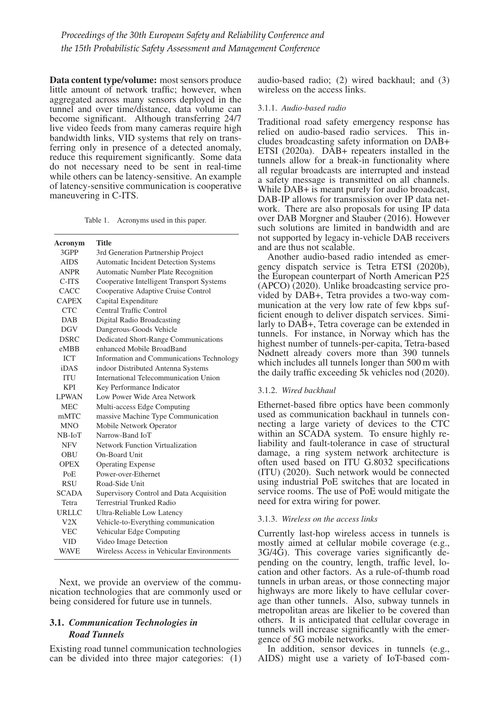Data content type/volume: most sensors produce little amount of network traffic; however, when aggregated across many sensors deployed in the tunnel and over time/distance, data volume can become significant. Although transferring 24/7 live video feeds from many cameras require high bandwidth links, VID systems that rely on transferring only in presence of a detected anomaly, reduce this requirement significantly. Some data do not necessary need to be sent in real-time while others can be latency-sensitive. An example of latency-sensitive communication is cooperative maneuvering in C-ITS.

Table 1. Acronyms used in this paper.

| Acronym      | Title                                     |
|--------------|-------------------------------------------|
| 3GPP         | 3rd Generation Partnership Project        |
| <b>AIDS</b>  | Automatic Incident Detection Systems      |
| <b>ANPR</b>  | Automatic Number Plate Recognition        |
| C-ITS        | Cooperative Intelligent Transport Systems |
| CACC         | Cooperative Adaptive Cruise Control       |
| <b>CAPEX</b> | Capital Expenditure                       |
| CTC.         | Central Traffic Control                   |
| <b>DAB</b>   | Digital Radio Broadcasting                |
| <b>DGV</b>   | Dangerous-Goods Vehicle                   |
| <b>DSRC</b>  | Dedicated Short-Range Communications      |
| eMBB         | enhanced Mobile BroadBand                 |
| <b>ICT</b>   | Information and Communications Technology |
| <b>iDAS</b>  | indoor Distributed Antenna Systems        |
| <b>ITU</b>   | International Telecommunication Union     |
| <b>KPI</b>   | Key Performance Indicator                 |
| <b>LPWAN</b> | Low Power Wide Area Network               |
| <b>MEC</b>   | Multi-access Edge Computing               |
| mMTC         | massive Machine Type Communication        |
| <b>MNO</b>   | Mobile Network Operator                   |
| $NB$ - $IoT$ | Narrow-Band IoT                           |
| <b>NFV</b>   | Network Function Virtualization           |
| OBU          | On-Board Unit                             |
| <b>OPEX</b>  | <b>Operating Expense</b>                  |
| PoE          | Power-over-Ethernet                       |
| <b>RSU</b>   | Road-Side Unit                            |
| <b>SCADA</b> | Supervisory Control and Data Acquisition  |
| Tetra        | <b>Terrestrial Trunked Radio</b>          |
| URLLC        | Ultra-Reliable Low Latency                |
| V2X          | Vehicle-to-Everything communication       |
| <b>VEC</b>   | Vehicular Edge Computing                  |
| <b>VID</b>   | Video Image Detection                     |
| <b>WAVE</b>  | Wireless Access in Vehicular Environments |

Next, we provide an overview of the communication technologies that are commonly used or being considered for future use in tunnels.

# 3.1. *Communication Technologies in Road Tunnels*

Existing road tunnel communication technologies can be divided into three major categories: (1) audio-based radio; (2) wired backhaul; and (3) wireless on the access links.

#### 3.1.1. *Audio-based radio*

Traditional road safety emergency response has relied on audio-based radio services. This includes broadcasting safety information on DAB+ ETSI (2020a). DAB+ repeaters installed in the tunnels allow for a break-in functionality where all regular broadcasts are interrupted and instead a safety message is transmitted on all channels. While DAB+ is meant purely for audio broadcast, DAB-IP allows for transmission over IP data network. There are also proposals for using IP data over DAB Morgner and Stauber (2016). However such solutions are limited in bandwidth and are not supported by legacy in-vehicle DAB receivers and are thus not scalable.

Another audio-based radio intended as emergency dispatch service is Tetra ETSI (2020b), the European counterpart of North American P25 (APCO) (2020). Unlike broadcasting service provided by DAB+, Tetra provides a two-way communication at the very low rate of few kbps sufficient enough to deliver dispatch services. Similarly to DAB+, Tetra coverage can be extended in tunnels. For instance, in Norway which has the highest number of tunnels-per-capita, Tetra-based Nødnett already covers more than 390 tunnels which includes all tunnels longer than 500 m with the daily traffic exceeding 5k vehicles nod (2020).

#### 3.1.2. *Wired backhaul*

Ethernet-based fibre optics have been commonly used as communication backhaul in tunnels connecting a large variety of devices to the CTC within an SCADA system. To ensure highly reliability and fault-tolerance in case of structural damage, a ring system network architecture is often used based on ITU G.8032 specifications (ITU) (2020). Such network would be connected using industrial PoE switches that are located in service rooms. The use of PoE would mitigate the need for extra wiring for power.

#### 3.1.3. *Wireless on the access links*

Currently last-hop wireless access in tunnels is mostly aimed at cellular mobile coverage (e.g., 3G/4G). This coverage varies significantly depending on the country, length, traffic level, location and other factors. As a rule-of-thumb road tunnels in urban areas, or those connecting major highways are more likely to have cellular coverage than other tunnels. Also, subway tunnels in metropolitan areas are likelier to be covered than others. It is anticipated that cellular coverage in tunnels will increase significantly with the emergence of 5G mobile networks.

In addition, sensor devices in tunnels (e.g., AIDS) might use a variety of IoT-based com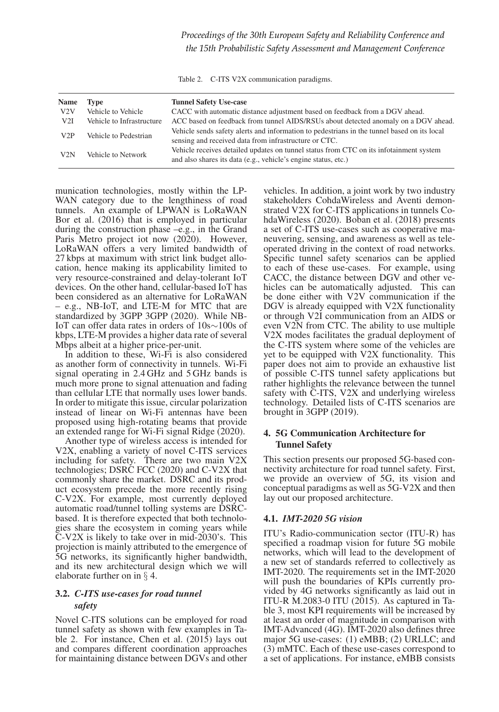Table 2. C-ITS V2X communication paradigms.

| Name | Type                      | <b>Tunnel Safety Use-case</b>                                                                                                                            |
|------|---------------------------|----------------------------------------------------------------------------------------------------------------------------------------------------------|
| V2V  | Vehicle to Vehicle        | CACC with automatic distance adjustment based on feedback from a DGV ahead.                                                                              |
| V2I  | Vehicle to Infrastructure | ACC based on feedback from tunnel AIDS/RSUs about detected anomaly on a DGV ahead.                                                                       |
| V2P  | Vehicle to Pedestrian     | Vehicle sends safety alerts and information to pedestrians in the tunnel based on its local<br>sensing and received data from infrastructure or CTC.     |
| V2N  | Vehicle to Network        | Vehicle receives detailed updates on tunnel status from CTC on its infotainment system<br>and also shares its data (e.g., vehicle's engine status, etc.) |

munication technologies, mostly within the LP-WAN category due to the lengthiness of road tunnels. An example of LPWAN is LoRaWAN Bor et al. (2016) that is employed in particular during the construction phase –e.g., in the Grand Paris Metro project iot now (2020). However, LoRaWAN offers a very limited bandwidth of 27 kbps at maximum with strict link budget allocation, hence making its applicability limited to very resource-constrained and delay-tolerant IoT devices. On the other hand, cellular-based IoT has been considered as an alternative for LoRaWAN – e.g., NB-IoT, and LTE-M for MTC that are standardized by 3GPP 3GPP (2020). While NB-IoT can offer data rates in orders of 10s∼100s of kbps, LTE-M provides a higher data rate of several Mbps albeit at a higher price-per-unit.

In addition to these, Wi-Fi is also considered as another form of connectivity in tunnels. Wi-Fi signal operating in 2.4 GHz and 5 GHz bands is much more prone to signal attenuation and fading than cellular LTE that normally uses lower bands. In order to mitigate this issue, circular polarization instead of linear on Wi-Fi antennas have been proposed using high-rotating beams that provide an extended range for Wi-Fi signal Ridge (2020).

Another type of wireless access is intended for V2X, enabling a variety of novel C-ITS services including for safety. There are two main V2X technologies; DSRC FCC (2020) and C-V2X that commonly share the market. DSRC and its product ecosystem precede the more recently rising C-V2X. For example, most currently deployed automatic road/tunnel tolling systems are DSRCbased. It is therefore expected that both technologies share the ecosystem in coming years while C-V2X is likely to take over in mid-2030's. This projection is mainly attributed to the emergence of 5G networks, its significantly higher bandwidth, and its new architectural design which we will elaborate further on in § 4.

# 3.2. *C-ITS use-cases for road tunnel safety*

Novel C-ITS solutions can be employed for road tunnel safety as shown with few examples in Table 2. For instance, Chen et al. (2015) lays out and compares different coordination approaches for maintaining distance between DGVs and other

vehicles. In addition, a joint work by two industry stakeholders CohdaWireless and Aventi demonstrated V2X for C-ITS applications in tunnels CohdaWireless (2020). Boban et al. (2018) presents a set of C-ITS use-cases such as cooperative maneuvering, sensing, and awareness as well as teleoperated driving in the context of road networks. Specific tunnel safety scenarios can be applied to each of these use-cases. For example, using CACC, the distance between DGV and other vehicles can be automatically adjusted. This can be done either with V2V communication if the DGV is already equipped with V2X functionality or through V2I communication from an AIDS or even V2N from CTC. The ability to use multiple V2X modes facilitates the gradual deployment of the C-ITS system where some of the vehicles are yet to be equipped with V2X functionality. This paper does not aim to provide an exhaustive list of possible C-ITS tunnel safety applications but rather highlights the relevance between the tunnel safety with C-ITS, V2X and underlying wireless technology. Detailed lists of C-ITS scenarios are brought in 3GPP (2019).

# 4. 5G Communication Architecture for Tunnel Safety

This section presents our proposed 5G-based connectivity architecture for road tunnel safety. First, we provide an overview of 5G, its vision and conceptual paradigms as well as 5G-V2X and then lay out our proposed architecture.

# 4.1. *IMT-2020 5G vision*

ITU's Radio-communication sector (ITU-R) has specified a roadmap vision for future 5G mobile networks, which will lead to the development of a new set of standards referred to collectively as IMT-2020. The requirements set in the IMT-2020 will push the boundaries of KPIs currently provided by 4G networks significantly as laid out in ITU-R M.2083-0 ITU (2015). As captured in Table 3, most KPI requirements will be increased by at least an order of magnitude in comparison with IMT-Advanced (4G). IMT-2020 also defines three major 5G use-cases: (1) eMBB; (2) URLLC; and (3) mMTC. Each of these use-cases correspond to a set of applications. For instance, eMBB consists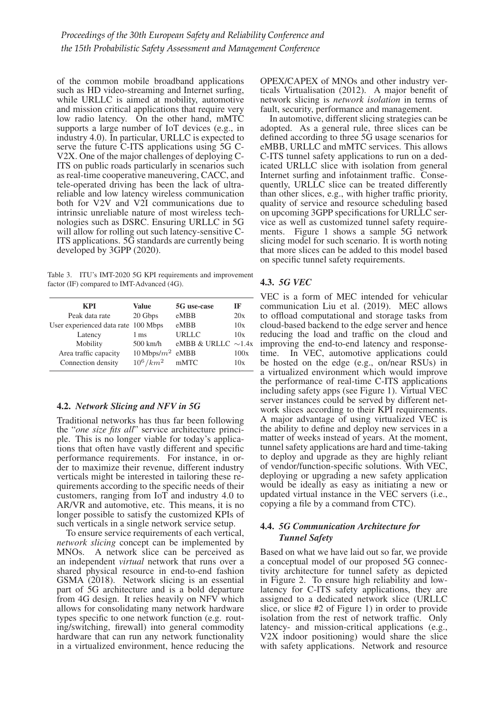of the common mobile broadband applications such as HD video-streaming and Internet surfing, while URLLC is aimed at mobility, automotive and mission critical applications that require very low radio latency. On the other hand, mMTC supports a large number of IoT devices (e.g., in industry 4.0). In particular, URLLC is expected to serve the future C-ITS applications using 5G C-V2X. One of the major challenges of deploying C-ITS on public roads particularly in scenarios such as real-time cooperative maneuvering, CACC, and tele-operated driving has been the lack of ultrareliable and low latency wireless communication both for V2V and V2I communications due to intrinsic unreliable nature of most wireless technologies such as DSRC. Ensuring URLLC in 5G will allow for rolling out such latency-sensitive C-ITS applications. 5G standards are currently being developed by 3GPP (2020).

Table 3. ITU's IMT-2020 5G KPI requirements and improvement factor (IF) compared to IMT-Advanced (4G).

| <b>KPI</b>                          | <b>Value</b>        | 5G use-case              | IF   |
|-------------------------------------|---------------------|--------------------------|------|
| Peak data rate                      | 20 Gbps             | eMBB                     | 20x  |
| User experienced data rate 100 Mbps |                     | eMBB                     | 10x  |
| Latency                             | 1 <sub>ms</sub>     | <b>URLLC</b>             | 10x  |
| Mobility                            | $500$ km/h          | eMBB & URLLC $\sim$ 1.4x |      |
| Area traffic capacity               | 10 Mbps/ $m^2$ eMBB |                          | 100x |
| Connection density                  | $10^6/km^2$ mMTC    |                          | 10x  |
|                                     |                     |                          |      |

# 4.2. *Network Slicing and NFV in 5G*

Traditional networks has thus far been following the "*one size fits all*" service architecture principle. This is no longer viable for today's applications that often have vastly different and specific performance requirements. For instance, in order to maximize their revenue, different industry verticals might be interested in tailoring these requirements according to the specific needs of their customers, ranging from IoT and industry 4.0 to AR/VR and automotive, etc. This means, it is no longer possible to satisfy the customized KPIs of such verticals in a single network service setup.

To ensure service requirements of each vertical, *network slicing* concept can be implemented by MNOs. A network slice can be perceived as an independent *virtual* network that runs over a shared physical resource in end-to-end fashion GSMA (2018). Network slicing is an essential part of 5G architecture and is a bold departure from 4G design. It relies heavily on NFV which allows for consolidating many network hardware types specific to one network function (e.g. routing/switching, firewall) into general commodity hardware that can run any network functionality in a virtualized environment, hence reducing the OPEX/CAPEX of MNOs and other industry verticals Virtualisation (2012). A major benefit of network slicing is *network isolation* in terms of fault, security, performance and management.

In automotive, different slicing strategies can be adopted. As a general rule, three slices can be defined according to three 5G usage scenarios for eMBB, URLLC and mMTC services. This allows C-ITS tunnel safety applications to run on a dedicated URLLC slice with isolation from general Internet surfing and infotainment traffic. Consequently, URLLC slice can be treated differently than other slices, e.g., with higher traffic priority, quality of service and resource scheduling based on upcoming 3GPP specifications for URLLC service as well as customized tunnel safety requirements. Figure 1 shows a sample 5G network slicing model for such scenario. It is worth noting that more slices can be added to this model based on specific tunnel safety requirements.

# 4.3. *5G VEC*

VEC is a form of MEC intended for vehicular communication Liu et al. (2019). MEC allows to offload computational and storage tasks from cloud-based backend to the edge server and hence reducing the load and traffic on the cloud and improving the end-to-end latency and response-<br>time. In VEC, automotive applications could In VEC, automotive applications could be hosted on the edge (e.g., on/near RSUs) in a virtualized environment which would improve the performance of real-time C-ITS applications including safety apps (see Figure 1). Virtual VEC server instances could be served by different network slices according to their KPI requirements. A major advantage of using virtualized VEC is the ability to define and deploy new services in a matter of weeks instead of years. At the moment, tunnel safety applications are hard and time-taking to deploy and upgrade as they are highly reliant of vendor/function-specific solutions. With VEC, deploying or upgrading a new safety application would be ideally as easy as initiating a new or updated virtual instance in the VEC servers (i.e., copying a file by a command from CTC).

# 4.4. *5G Communication Architecture for Tunnel Safety*

Based on what we have laid out so far, we provide a conceptual model of our proposed 5G connectivity architecture for tunnel safety as depicted in Figure 2. To ensure high reliability and lowlatency for C-ITS safety applications, they are assigned to a dedicated network slice (URLLC slice, or slice #2 of Figure 1) in order to provide isolation from the rest of network traffic. Only latency- and mission-critical applications (e.g., V2X indoor positioning) would share the slice with safety applications. Network and resource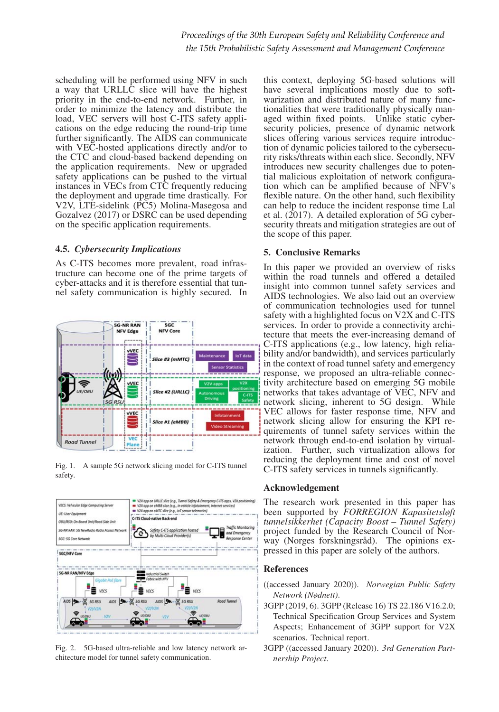scheduling will be performed using NFV in such a way that URLLC slice will have the highest priority in the end-to-end network. Further, in order to minimize the latency and distribute the load, VEC servers will host C-ITS safety applications on the edge reducing the round-trip time further significantly. The AIDS can communicate with VEC-hosted applications directly and/or to the CTC and cloud-based backend depending on the application requirements. New or upgraded safety applications can be pushed to the virtual instances in VECs from CTC frequently reducing the deployment and upgrade time drastically. For V2V, LTE-sidelink (PC5) Molina-Masegosa and Gozalvez (2017) or DSRC can be used depending on the specific application requirements.

### 4.5. *Cybersecurity Implications*

As C-ITS becomes more prevalent, road infrastructure can become one of the prime targets of cyber-attacks and it is therefore essential that tunnel safety communication is highly secured. In



Fig. 1. A sample 5G network slicing model for C-ITS tunnel safety.



Fig. 2. 5G-based ultra-reliable and low latency network architecture model for tunnel safety communication.

this context, deploying 5G-based solutions will have several implications mostly due to softwarization and distributed nature of many functionalities that were traditionally physically managed within fixed points. Unlike static cybersecurity policies, presence of dynamic network slices offering various services require introduction of dynamic policies tailored to the cybersecurity risks/threats within each slice. Secondly, NFV introduces new security challenges due to potential malicious exploitation of network configuration which can be amplified because of NFV's flexible nature. On the other hand, such flexibility can help to reduce the incident response time Lal et al.  $(2017)$ . A detailed exploration of 5G cybersecurity threats and mitigation strategies are out of the scope of this paper.

# 5. Conclusive Remarks

In this paper we provided an overview of risks within the road tunnels and offered a detailed insight into common tunnel safety services and AIDS technologies. We also laid out an overview of communication technologies used for tunnel safety with a highlighted focus on V2X and C-ITS services. In order to provide a connectivity architecture that meets the ever-increasing demand of C-ITS applications (e.g., low latency, high reliability and/or bandwidth), and services particularly in the context of road tunnel safety and emergency response, we proposed an ultra-reliable connectivity architecture based on emerging 5G mobile networks that takes advantage of VEC, NFV and network slicing, inherent to 5G design. While VEC allows for faster response time, NFV and network slicing allow for ensuring the KPI requirements of tunnel safety services within the network through end-to-end isolation by virtualization. Further, such virtualization allows for reducing the deployment time and cost of novel C-ITS safety services in tunnels significantly.

# Acknowledgement

The research work presented in this paper has been supported by *FORREGION Kapasitetsløft tunnelsikkerhet (Capacity Boost – Tunnel Safety)* project funded by the Research Council of Norway (Norges forskningsråd). The opinions expressed in this paper are solely of the authors.

# References

- ((accessed January 2020)). *Norwegian Public Safety Network (Nødnett)*.
- 3GPP (2019, 6). 3GPP (Release 16) TS 22.186 V16.2.0; Technical Specification Group Services and System Aspects; Enhancement of 3GPP support for V2X scenarios. Technical report.
- 3GPP ((accessed January 2020)). *3rd Generation Partnership Project*.